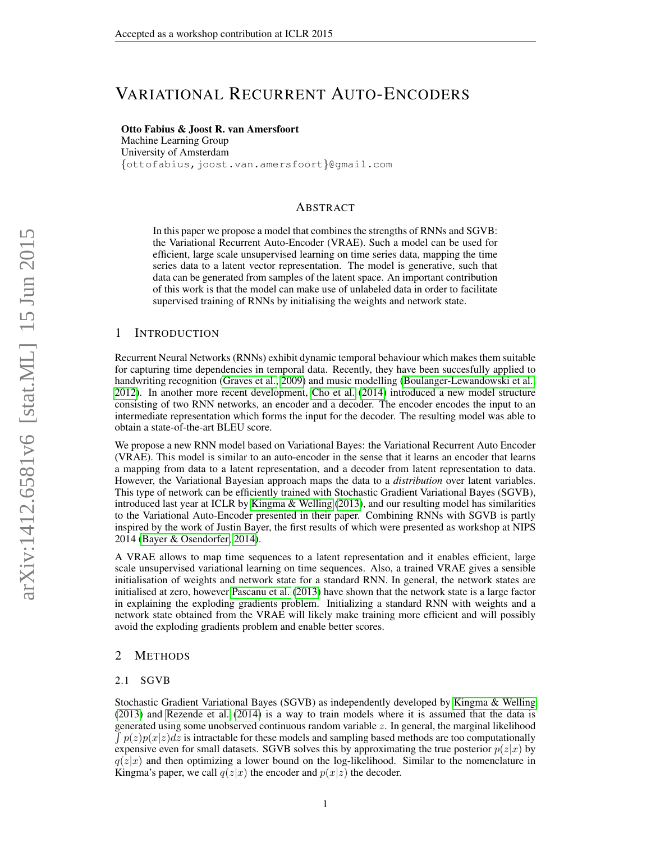# VARIATIONAL RECURRENT AUTO-ENCODERS

## Otto Fabius & Joost R. van Amersfoort

Machine Learning Group University of Amsterdam {ottofabius,joost.van.amersfoort}@gmail.com

## ABSTRACT

In this paper we propose a model that combines the strengths of RNNs and SGVB: the Variational Recurrent Auto-Encoder (VRAE). Such a model can be used for efficient, large scale unsupervised learning on time series data, mapping the time series data to a latent vector representation. The model is generative, such that data can be generated from samples of the latent space. An important contribution of this work is that the model can make use of unlabeled data in order to facilitate supervised training of RNNs by initialising the weights and network state.

## 1 INTRODUCTION

Recurrent Neural Networks (RNNs) exhibit dynamic temporal behaviour which makes them suitable for capturing time dependencies in temporal data. Recently, they have been succesfully applied to handwriting recognition [\(Graves et al., 2009\)](#page-4-0) and music modelling [\(Boulanger-Lewandowski et al.,](#page-4-1) [2012\)](#page-4-1). In another more recent development, [Cho et al.](#page-4-2) [\(2014\)](#page-4-2) introduced a new model structure consisting of two RNN networks, an encoder and a decoder. The encoder encodes the input to an intermediate representation which forms the input for the decoder. The resulting model was able to obtain a state-of-the-art BLEU score.

We propose a new RNN model based on Variational Bayes: the Variational Recurrent Auto Encoder (VRAE). This model is similar to an auto-encoder in the sense that it learns an encoder that learns a mapping from data to a latent representation, and a decoder from latent representation to data. However, the Variational Bayesian approach maps the data to a *distribution* over latent variables. This type of network can be efficiently trained with Stochastic Gradient Variational Bayes (SGVB), introduced last year at ICLR by [Kingma & Welling](#page-4-3) [\(2013\)](#page-4-3), and our resulting model has similarities to the Variational Auto-Encoder presented in their paper. Combining RNNs with SGVB is partly inspired by the work of Justin Bayer, the first results of which were presented as workshop at NIPS 2014 [\(Bayer & Osendorfer, 2014\)](#page-4-4).

A VRAE allows to map time sequences to a latent representation and it enables efficient, large scale unsupervised variational learning on time sequences. Also, a trained VRAE gives a sensible initialisation of weights and network state for a standard RNN. In general, the network states are initialised at zero, however [Pascanu et al.](#page-4-5) [\(2013\)](#page-4-5) have shown that the network state is a large factor in explaining the exploding gradients problem. Initializing a standard RNN with weights and a network state obtained from the VRAE will likely make training more efficient and will possibly avoid the exploding gradients problem and enable better scores.

## 2 METHODS

### 2.1 SGVB

Stochastic Gradient Variational Bayes (SGVB) as independently developed by [Kingma & Welling](#page-4-3) [\(2013\)](#page-4-3) and [Rezende et al.](#page-4-6) [\(2014\)](#page-4-6) is a way to train models where it is assumed that the data is generated using some unobserved continuous random variable z. In general, the marginal likelihood  $\int p(z)p(x|z)dz$  is intractable for these models and sampling based methods are too computationally expensive even for small datasets. SGVB solves this by approximating the true posterior  $p(z|x)$  by  $q(z|x)$  and then optimizing a lower bound on the log-likelihood. Similar to the nomenclature in Kingma's paper, we call  $q(z|x)$  the encoder and  $p(x|z)$  the decoder.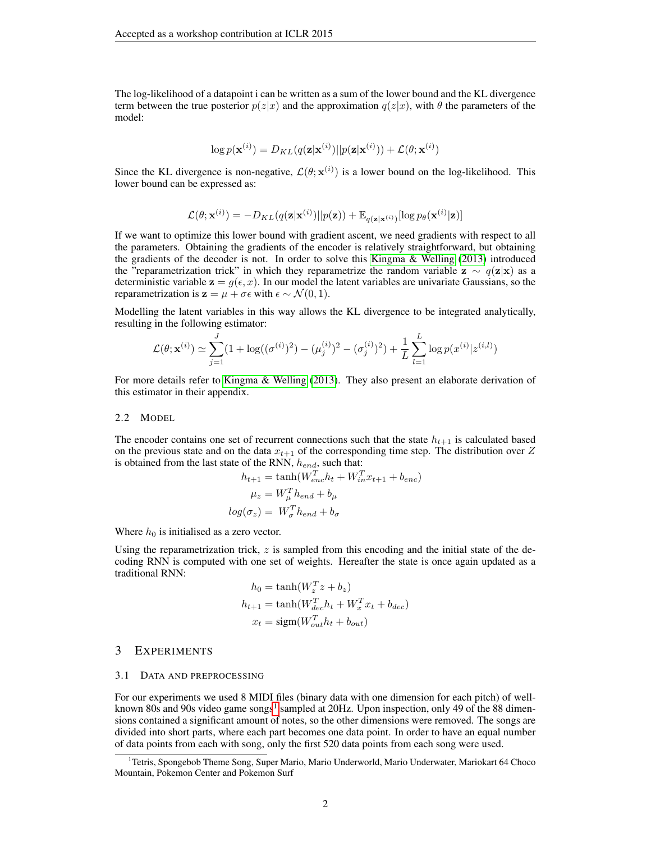The log-likelihood of a datapoint i can be written as a sum of the lower bound and the KL divergence term between the true posterior  $p(z|x)$  and the approximation  $q(z|x)$ , with  $\theta$  the parameters of the model:

$$
\log p(\mathbf{x}^{(i)}) = D_{KL}(q(\mathbf{z}|\mathbf{x}^{(i)})||p(\mathbf{z}|\mathbf{x}^{(i)})) + \mathcal{L}(\theta; \mathbf{x}^{(i)})
$$

Since the KL divergence is non-negative,  $\mathcal{L}(\theta; \mathbf{x}^{(i)})$  is a lower bound on the log-likelihood. This lower bound can be expressed as:

$$
\mathcal{L}(\theta; \mathbf{x}^{(i)}) = -D_{KL}(q(\mathbf{z}|\mathbf{x}^{(i)})||p(\mathbf{z})) + \mathbb{E}_{q(\mathbf{z}|\mathbf{x}^{(i)})}[\log p_{\theta}(\mathbf{x}^{(i)}|\mathbf{z})]
$$

If we want to optimize this lower bound with gradient ascent, we need gradients with respect to all the parameters. Obtaining the gradients of the encoder is relatively straightforward, but obtaining the gradients of the decoder is not. In order to solve this [Kingma & Welling](#page-4-3) [\(2013\)](#page-4-3) introduced the "reparametrization trick" in which they reparametrize the random variable  $z \sim q(z|x)$  as a deterministic variable  $z = g(\epsilon, x)$ . In our model the latent variables are univariate Gaussians, so the reparametrization is  $z = \mu + \sigma \epsilon$  with  $\epsilon \sim \mathcal{N}(0, 1)$ .

Modelling the latent variables in this way allows the KL divergence to be integrated analytically, resulting in the following estimator:

$$
\mathcal{L}(\theta; \mathbf{x}^{(i)}) \simeq \sum_{j=1}^{J} (1 + \log((\sigma^{(i)})^2) - (\mu_j^{(i)})^2 - (\sigma_j^{(i)})^2) + \frac{1}{L} \sum_{l=1}^{L} \log p(x^{(i)} | z^{(i,l)})
$$

For more details refer to [Kingma & Welling](#page-4-3) [\(2013\)](#page-4-3). They also present an elaborate derivation of this estimator in their appendix.

#### 2.2 MODEL

The encoder contains one set of recurrent connections such that the state  $h_{t+1}$  is calculated based on the previous state and on the data  $x_{t+1}$  of the corresponding time step. The distribution over Z is obtained from the last state of the RNN,  $h_{end}$ , such that:

$$
h_{t+1} = \tanh(W_{enc}^T h_t + W_{in}^T x_{t+1} + b_{enc})
$$

$$
\mu_z = W_{\mu}^T h_{end} + b_{\mu}
$$

$$
log(\sigma_z) = W_{\sigma}^T h_{end} + b_{\sigma}
$$

Where  $h_0$  is initialised as a zero vector.

Using the reparametrization trick,  $z$  is sampled from this encoding and the initial state of the decoding RNN is computed with one set of weights. Hereafter the state is once again updated as a traditional RNN:

$$
h_0 = \tanh(W_x^T z + b_z)
$$
  
\n
$$
h_{t+1} = \tanh(W_{dec}^T h_t + W_x^T x_t + b_{dec})
$$
  
\n
$$
x_t = \text{sigm}(W_{out}^T h_t + b_{out})
$$

#### 3 EXPERIMENTS

#### 3.1 DATA AND PREPROCESSING

For our experiments we used 8 MIDI files (binary data with one dimension for each pitch) of well-known 80s and 90s video game songs<sup>[1](#page-1-0)</sup> sampled at 20Hz. Upon inspection, only 49 of the 88 dimensions contained a significant amount of notes, so the other dimensions were removed. The songs are divided into short parts, where each part becomes one data point. In order to have an equal number of data points from each with song, only the first 520 data points from each song were used.

<span id="page-1-0"></span><sup>&</sup>lt;sup>1</sup> Tetris, Spongebob Theme Song, Super Mario, Mario Underworld, Mario Underwater, Mariokart 64 Choco Mountain, Pokemon Center and Pokemon Surf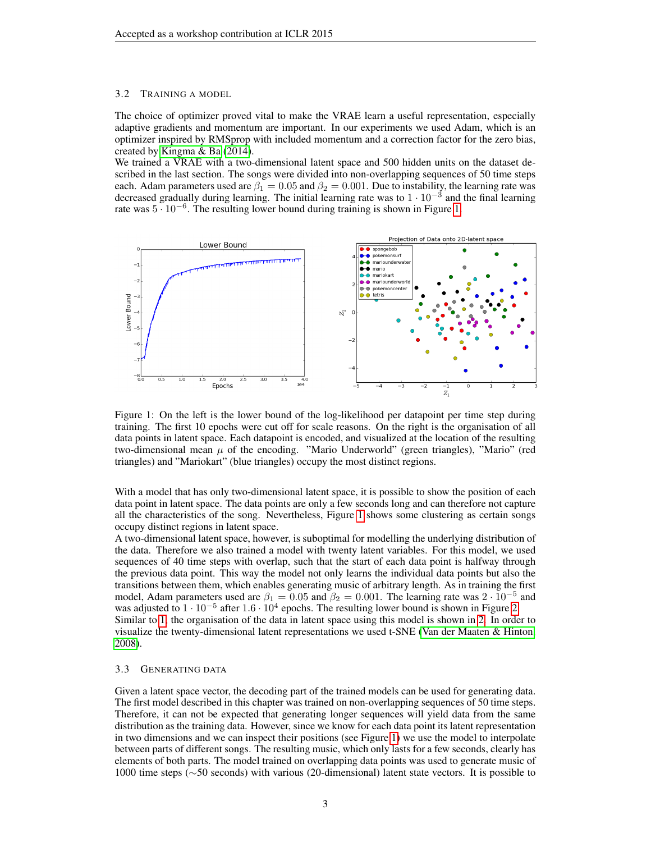#### 3.2 TRAINING A MODEL

The choice of optimizer proved vital to make the VRAE learn a useful representation, especially adaptive gradients and momentum are important. In our experiments we used Adam, which is an optimizer inspired by RMSprop with included momentum and a correction factor for the zero bias, created by [Kingma & Ba](#page-4-7) [\(2014\)](#page-4-7).

We trained a VRAE with a two-dimensional latent space and 500 hidden units on the dataset described in the last section. The songs were divided into non-overlapping sequences of 50 time steps each. Adam parameters used are  $\beta_1 = 0.05$  and  $\beta_2 = 0.001$ . Due to instability, the learning rate was decreased gradually during learning. The initial learning rate was to  $1 \cdot 10^{-3}$  and the final learning rate was 5 · 10−<sup>6</sup> . The resulting lower bound during training is shown in Figure [1.](#page-2-0)

<span id="page-2-0"></span>

Figure 1: On the left is the lower bound of the log-likelihood per datapoint per time step during training. The first 10 epochs were cut off for scale reasons. On the right is the organisation of all data points in latent space. Each datapoint is encoded, and visualized at the location of the resulting two-dimensional mean  $\mu$  of the encoding. "Mario Underworld" (green triangles), "Mario" (red triangles) and "Mariokart" (blue triangles) occupy the most distinct regions.

With a model that has only two-dimensional latent space, it is possible to show the position of each data point in latent space. The data points are only a few seconds long and can therefore not capture all the characteristics of the song. Nevertheless, Figure [1](#page-2-0) shows some clustering as certain songs occupy distinct regions in latent space.

A two-dimensional latent space, however, is suboptimal for modelling the underlying distribution of the data. Therefore we also trained a model with twenty latent variables. For this model, we used sequences of 40 time steps with overlap, such that the start of each data point is halfway through the previous data point. This way the model not only learns the individual data points but also the transitions between them, which enables generating music of arbitrary length. As in training the first model, Adam parameters used are  $\beta_1 = 0.05$  and  $\beta_2 = 0.001$ . The learning rate was  $2 \cdot 10^{-5}$  and was adjusted to  $1 \cdot 10^{-5}$  after  $1.6 \cdot 10^{4}$  epochs. The resulting lower bound is shown in Figure [2.](#page-3-0) Similar to [1,](#page-2-0) the organisation of the data in latent space using this model is shown in [2.](#page-3-0) In order to visualize the twenty-dimensional latent representations we used t-SNE [\(Van der Maaten & Hinton,](#page-4-8) [2008\)](#page-4-8).

#### 3.3 GENERATING DATA

Given a latent space vector, the decoding part of the trained models can be used for generating data. The first model described in this chapter was trained on non-overlapping sequences of 50 time steps. Therefore, it can not be expected that generating longer sequences will yield data from the same distribution as the training data. However, since we know for each data point its latent representation in two dimensions and we can inspect their positions (see Figure [1\)](#page-2-0) we use the model to interpolate between parts of different songs. The resulting music, which only lasts for a few seconds, clearly has elements of both parts. The model trained on overlapping data points was used to generate music of 1000 time steps (∼50 seconds) with various (20-dimensional) latent state vectors. It is possible to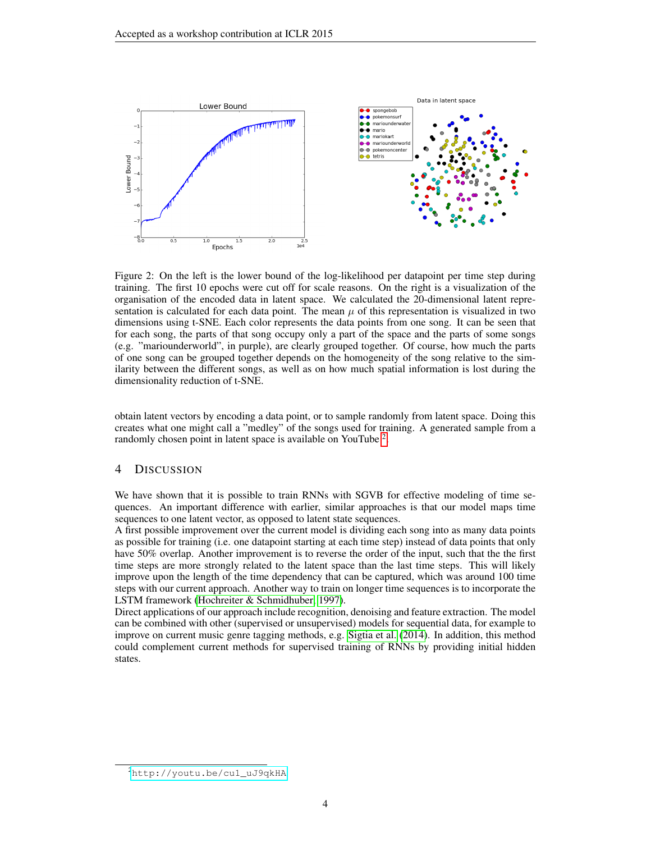<span id="page-3-0"></span>

Figure 2: On the left is the lower bound of the log-likelihood per datapoint per time step during training. The first 10 epochs were cut off for scale reasons. On the right is a visualization of the organisation of the encoded data in latent space. We calculated the 20-dimensional latent representation is calculated for each data point. The mean  $\mu$  of this representation is visualized in two dimensions using t-SNE. Each color represents the data points from one song. It can be seen that for each song, the parts of that song occupy only a part of the space and the parts of some songs (e.g. "mariounderworld", in purple), are clearly grouped together. Of course, how much the parts of one song can be grouped together depends on the homogeneity of the song relative to the similarity between the different songs, as well as on how much spatial information is lost during the dimensionality reduction of t-SNE.

obtain latent vectors by encoding a data point, or to sample randomly from latent space. Doing this creates what one might call a "medley" of the songs used for training. A generated sample from a randomly chosen point in latent space is available on YouTube<sup>[2](#page-3-1)</sup>.

## 4 DISCUSSION

We have shown that it is possible to train RNNs with SGVB for effective modeling of time sequences. An important difference with earlier, similar approaches is that our model maps time sequences to one latent vector, as opposed to latent state sequences.

A first possible improvement over the current model is dividing each song into as many data points as possible for training (i.e. one datapoint starting at each time step) instead of data points that only have 50% overlap. Another improvement is to reverse the order of the input, such that the the first time steps are more strongly related to the latent space than the last time steps. This will likely improve upon the length of the time dependency that can be captured, which was around 100 time steps with our current approach. Another way to train on longer time sequences is to incorporate the LSTM framework [\(Hochreiter & Schmidhuber, 1997\)](#page-4-9).

Direct applications of our approach include recognition, denoising and feature extraction. The model can be combined with other (supervised or unsupervised) models for sequential data, for example to improve on current music genre tagging methods, e.g. [Sigtia et al.](#page-4-10) [\(2014\)](#page-4-10). In addition, this method could complement current methods for supervised training of RNNs by providing initial hidden states.

<span id="page-3-1"></span><sup>2</sup>[http://youtu.be/cu1\\_uJ9qkHA](http://youtu.be/cu1_uJ9qkHA)